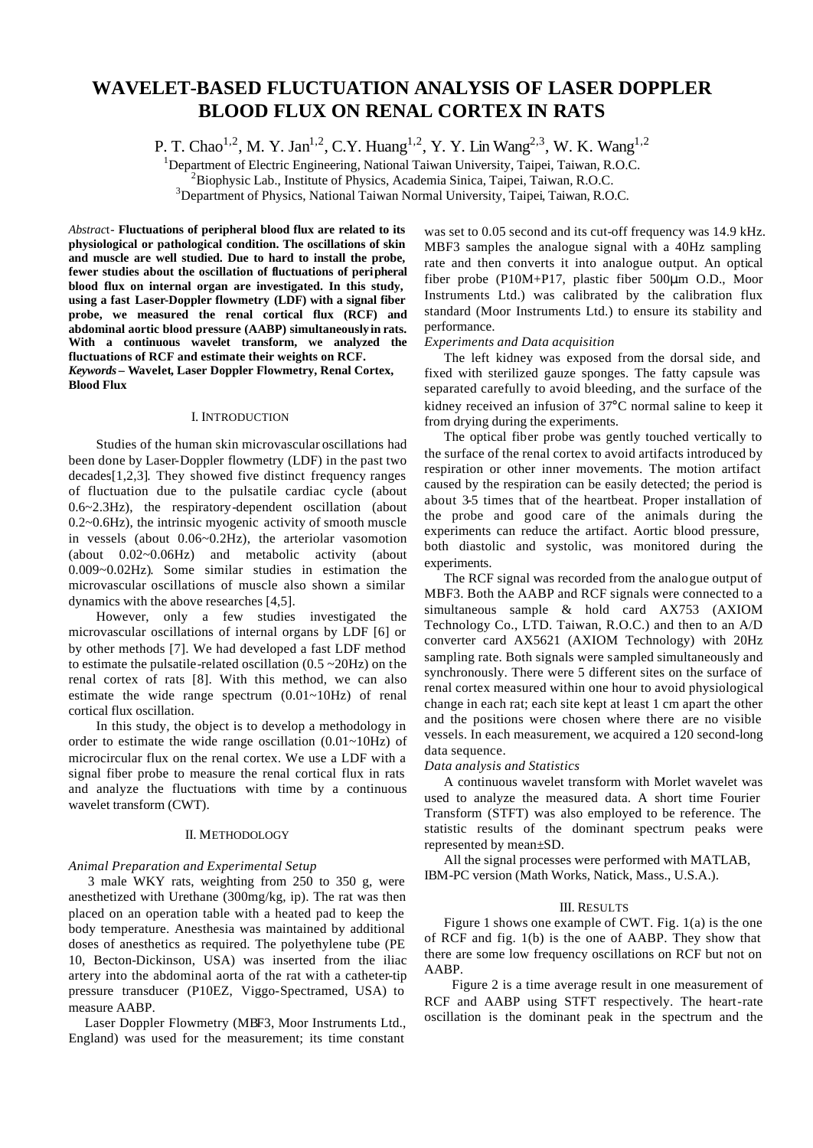# **WAVELET-BASED FLUCTUATION ANALYSIS OF LASER DOPPLER BLOOD FLUX ON RENAL CORTEX IN RATS**

P. T. Chao<sup>1,2</sup>, M. Y. Jan<sup>1,2</sup>, C.Y. Huang<sup>1,2</sup>, Y. Y. Lin Wang<sup>2,3</sup>, W. K. Wang<sup>1,2</sup>

<sup>1</sup>Department of Electric Engineering, National Taiwan University, Taipei, Taiwan, R.O.C.

 ${}^{2}$ Biophysic Lab., Institute of Physics, Academia Sinica, Taipei, Taiwan, R.O.C.

<sup>3</sup>Department of Physics, National Taiwan Normal University, Taipei, Taiwan, R.O.C.

*Abstrac*t- **Fluctuations of peripheral blood flux are related to its physiological or pathological condition. The oscillations of skin and muscle are well studied. Due to hard to install the probe, fewer studies about the oscillation of fluctuations of peripheral blood flux on internal organ are investigated. In this study, using a fast Laser-Doppler flowmetry (LDF) with a signal fiber probe, we measured the renal cortical flux (RCF) and abdominal aortic blood pressure (AABP) simultaneously in rats. With a continuous wavelet transform, we analyzed the fluctuations of RCF and estimate their weights on RCF.**  *Keywords* **– Wavelet, Laser Doppler Flowmetry, Renal Cortex, Blood Flux**

#### I. INTRODUCTION

Studies of the human skin microvascular oscillations had been done by Laser-Doppler flowmetry (LDF) in the past two decades[1,2,3]. They showed five distinct frequency ranges of fluctuation due to the pulsatile cardiac cycle (about 0.6~2.3Hz), the respiratory-dependent oscillation (about 0.2~0.6Hz), the intrinsic myogenic activity of smooth muscle in vessels (about 0.06~0.2Hz), the arteriolar vasomotion (about 0.02~0.06Hz) and metabolic activity (about 0.009~0.02Hz). Some similar studies in estimation the microvascular oscillations of muscle also shown a similar dynamics with the above researches [4,5].

However, only a few studies investigated the microvascular oscillations of internal organs by LDF [6] or by other methods [7]. We had developed a fast LDF method to estimate the pulsatile-related oscillation  $(0.5 \sim 20 \text{Hz})$  on the renal cortex of rats [8]. With this method, we can also estimate the wide range spectrum (0.01~10Hz) of renal cortical flux oscillation.

In this study, the object is to develop a methodology in order to estimate the wide range oscillation  $(0.01 \sim 10 Hz)$  of microcircular flux on the renal cortex. We use a LDF with a signal fiber probe to measure the renal cortical flux in rats and analyze the fluctuations with time by a continuous wavelet transform (CWT).

## II. METHODOLOGY

# *Animal Preparation and Experimental Setup*

3 male WKY rats, weighting from 250 to 350 g, were anesthetized with Urethane (300mg/kg, ip). The rat was then placed on an operation table with a heated pad to keep the body temperature. Anesthesia was maintained by additional doses of anesthetics as required. The polyethylene tube (PE 10, Becton-Dickinson, USA) was inserted from the iliac artery into the abdominal aorta of the rat with a catheter-tip pressure transducer (P10EZ, Viggo-Spectramed, USA) to measure AABP.

Laser Doppler Flowmetry (MBF3, Moor Instruments Ltd., England) was used for the measurement; its time constant

was set to 0.05 second and its cut-off frequency was 14.9 kHz. MBF3 samples the analogue signal with a 40Hz sampling rate and then converts it into analogue output. An optical fiber probe (P10M+P17, plastic fiber 500μm O.D., Moor Instruments Ltd.) was calibrated by the calibration flux standard (Moor Instruments Ltd.) to ensure its stability and performance.

# *Experiments and Data acquisition*

The left kidney was exposed from the dorsal side, and fixed with sterilized gauze sponges. The fatty capsule was separated carefully to avoid bleeding, and the surface of the kidney received an infusion of 37°C normal saline to keep it from drying during the experiments.

The optical fiber probe was gently touched vertically to the surface of the renal cortex to avoid artifacts introduced by respiration or other inner movements. The motion artifact caused by the respiration can be easily detected; the period is about 3-5 times that of the heartbeat. Proper installation of the probe and good care of the animals during the experiments can reduce the artifact. Aortic blood pressure, both diastolic and systolic, was monitored during the experiments.

The RCF signal was recorded from the analogue output of MBF3. Both the AABP and RCF signals were connected to a simultaneous sample & hold card AX753 (AXIOM Technology Co., LTD. Taiwan, R.O.C.) and then to an A/D converter card AX5621 (AXIOM Technology) with 20Hz sampling rate. Both signals were sampled simultaneously and synchronously. There were 5 different sites on the surface of renal cortex measured within one hour to avoid physiological change in each rat; each site kept at least 1 cm apart the other and the positions were chosen where there are no visible vessels. In each measurement, we acquired a 120 second-long data sequence.

# *Data analysis and Statistics*

A continuous wavelet transform with Morlet wavelet was used to analyze the measured data. A short time Fourier Transform (STFT) was also employed to be reference. The statistic results of the dominant spectrum peaks were represented by mean±SD.

All the signal processes were performed with MATLAB, IBM-PC version (Math Works, Natick, Mass., U.S.A.).

#### III. RESULTS

Figure 1 shows one example of CWT. Fig. 1(a) is the one of RCF and fig. 1(b) is the one of AABP. They show that there are some low frequency oscillations on RCF but not on AABP.

 Figure 2 is a time average result in one measurement of RCF and AABP using STFT respectively. The heart-rate oscillation is the dominant peak in the spectrum and the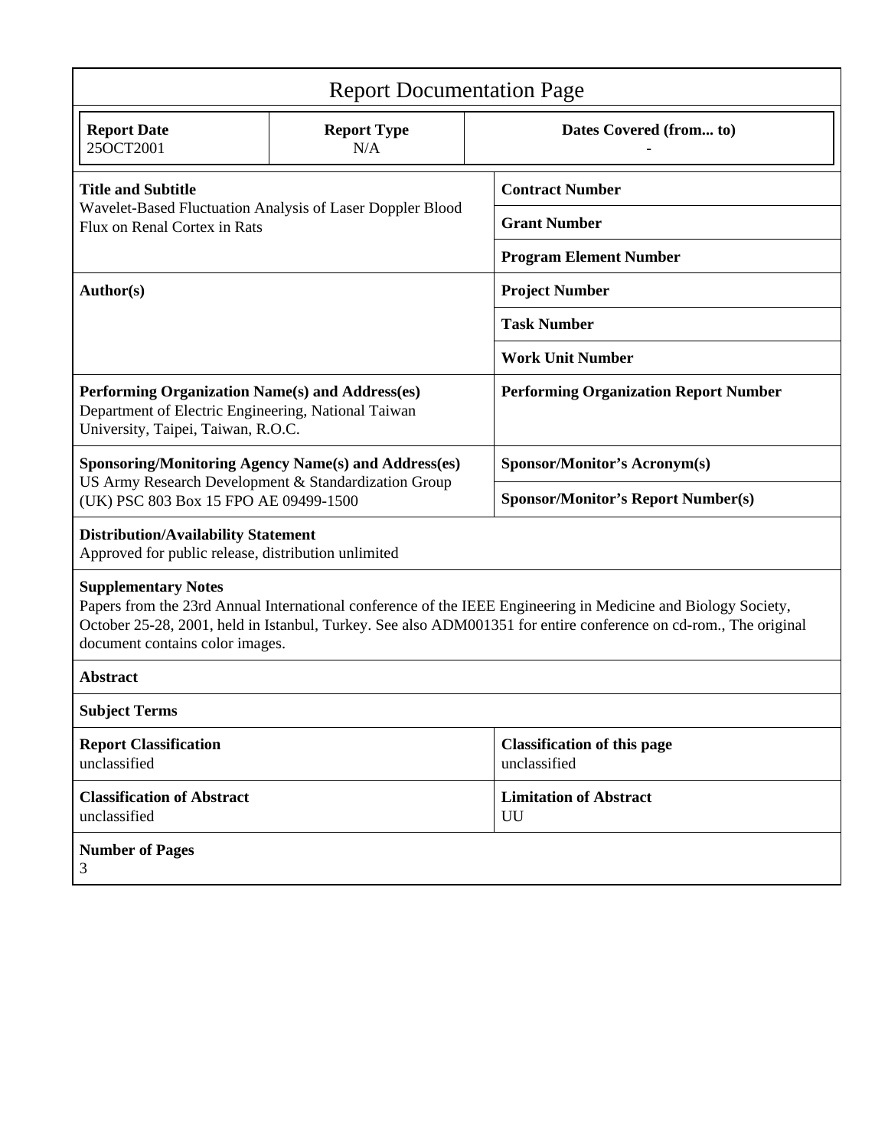| <b>Report Documentation Page</b>                                                                                                                                                                                                                                                                   |                           |                                                    |  |
|----------------------------------------------------------------------------------------------------------------------------------------------------------------------------------------------------------------------------------------------------------------------------------------------------|---------------------------|----------------------------------------------------|--|
| <b>Report Date</b><br>25OCT2001                                                                                                                                                                                                                                                                    | <b>Report Type</b><br>N/A | Dates Covered (from to)                            |  |
| <b>Title and Subtitle</b><br>Wavelet-Based Fluctuation Analysis of Laser Doppler Blood<br>Flux on Renal Cortex in Rats                                                                                                                                                                             |                           | <b>Contract Number</b>                             |  |
|                                                                                                                                                                                                                                                                                                    |                           | <b>Grant Number</b>                                |  |
|                                                                                                                                                                                                                                                                                                    |                           | <b>Program Element Number</b>                      |  |
| Author(s)                                                                                                                                                                                                                                                                                          |                           | <b>Project Number</b>                              |  |
|                                                                                                                                                                                                                                                                                                    |                           | <b>Task Number</b>                                 |  |
|                                                                                                                                                                                                                                                                                                    |                           | <b>Work Unit Number</b>                            |  |
| Performing Organization Name(s) and Address(es)<br>Department of Electric Engineering, National Taiwan<br>University, Taipei, Taiwan, R.O.C.                                                                                                                                                       |                           | <b>Performing Organization Report Number</b>       |  |
| <b>Sponsoring/Monitoring Agency Name(s) and Address(es)</b><br>US Army Research Development & Standardization Group<br>(UK) PSC 803 Box 15 FPO AE 09499-1500                                                                                                                                       |                           | <b>Sponsor/Monitor's Acronym(s)</b>                |  |
|                                                                                                                                                                                                                                                                                                    |                           | <b>Sponsor/Monitor's Report Number(s)</b>          |  |
| <b>Distribution/Availability Statement</b><br>Approved for public release, distribution unlimited                                                                                                                                                                                                  |                           |                                                    |  |
| <b>Supplementary Notes</b><br>Papers from the 23rd Annual International conference of the IEEE Engineering in Medicine and Biology Society,<br>October 25-28, 2001, held in Istanbul, Turkey. See also ADM001351 for entire conference on cd-rom., The original<br>document contains color images. |                           |                                                    |  |
| <b>Abstract</b>                                                                                                                                                                                                                                                                                    |                           |                                                    |  |
| <b>Subject Terms</b>                                                                                                                                                                                                                                                                               |                           |                                                    |  |
| <b>Report Classification</b><br>unclassified                                                                                                                                                                                                                                                       |                           | <b>Classification of this page</b><br>unclassified |  |
| <b>Classification of Abstract</b><br>unclassified                                                                                                                                                                                                                                                  |                           | <b>Limitation of Abstract</b><br>UU                |  |
| <b>Number of Pages</b><br>3                                                                                                                                                                                                                                                                        |                           |                                                    |  |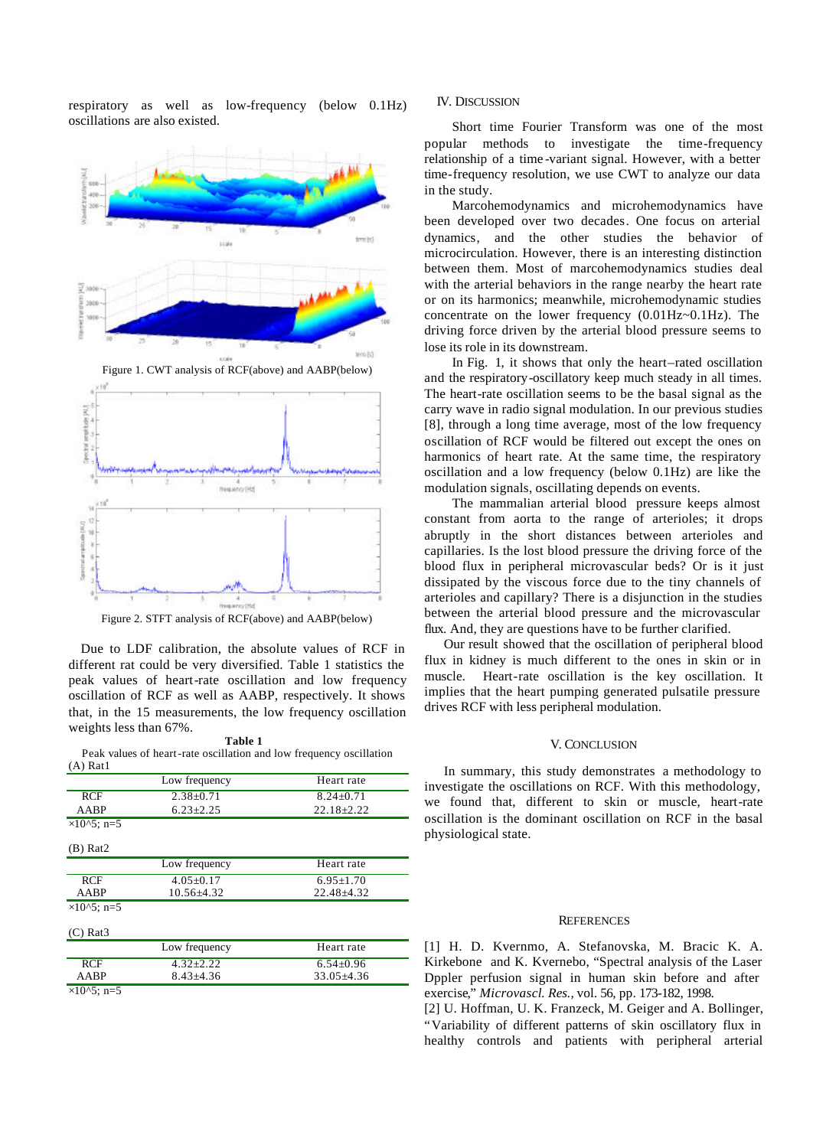respiratory as well as low-frequency (below 0.1Hz) oscillations are also existed.



Figure 2. STFT analysis of RCF(above) and AABP(below)

Due to LDF calibration, the absolute values of RCF in different rat could be very diversified. Table 1 statistics the peak values of heart-rate oscillation and low frequency oscillation of RCF as well as AABP, respectively. It shows that, in the 15 measurements, the low frequency oscillation weights less than 67%.

#### **Table 1**

Peak values of heart-rate oscillation and low frequency oscillation (A) Rat1

|                       | Low frequency    | Heart rate       |
|-----------------------|------------------|------------------|
| <b>RCF</b>            | $2.38 \pm 0.71$  | $8.24 + 0.71$    |
| AABP                  | $6.23 \pm 2.25$  | $22.18 \pm 2.22$ |
| $\times 10^{6}$ . n=5 |                  |                  |
| $(B)$ Rat2            |                  |                  |
|                       | Low frequency    | Heart rate       |
| <b>RCF</b>            | $4.05 \pm 0.17$  | $6.95 \pm 1.70$  |
| AABP                  | $10.56 \pm 4.32$ | 22.48±4.32       |
| $\times 10^{6}$ . n=5 |                  |                  |
| $(C)$ Rat $3$         |                  |                  |
|                       | Low frequency    | Heart rate       |
| <b>RCF</b>            | $4.32 \pm 2.22$  | $6.54 \pm 0.96$  |
| AABP                  | $8.43 \pm 4.36$  | $33.05 \pm 4.36$ |
| $\times$ 10^5; n=5    |                  |                  |

### IV. DISCUSSION

Short time Fourier Transform was one of the most popular methods to investigate the time-frequency relationship of a time -variant signal. However, with a better time-frequency resolution, we use CWT to analyze our data in the study.

Marcohemodynamics and microhemodynamics have been developed over two decades. One focus on arterial dynamics, and the other studies the behavior of microcirculation. However, there is an interesting distinction between them. Most of marcohemodynamics studies deal with the arterial behaviors in the range nearby the heart rate or on its harmonics; meanwhile, microhemodynamic studies concentrate on the lower frequency  $(0.01Hz-0.1Hz)$ . The driving force driven by the arterial blood pressure seems to lose its role in its downstream.

In Fig. 1, it shows that only the heart–rated oscillation and the respiratory-oscillatory keep much steady in all times. The heart-rate oscillation seems to be the basal signal as the carry wave in radio signal modulation. In our previous studies [8], through a long time average, most of the low frequency oscillation of RCF would be filtered out except the ones on harmonics of heart rate. At the same time, the respiratory oscillation and a low frequency (below 0.1Hz) are like the modulation signals, oscillating depends on events.

The mammalian arterial blood pressure keeps almost constant from aorta to the range of arterioles; it drops abruptly in the short distances between arterioles and capillaries. Is the lost blood pressure the driving force of the blood flux in peripheral microvascular beds? Or is it just dissipated by the viscous force due to the tiny channels of arterioles and capillary? There is a disjunction in the studies between the arterial blood pressure and the microvascular flux. And, they are questions have to be further clarified.

Our result showed that the oscillation of peripheral blood flux in kidney is much different to the ones in skin or in muscle. Heart-rate oscillation is the key oscillation. It implies that the heart pumping generated pulsatile pressure drives RCF with less peripheral modulation.

#### V. CONCLUSION

In summary, this study demonstrates a methodology to investigate the oscillations on RCF. With this methodology, we found that, different to skin or muscle, heart-rate oscillation is the dominant oscillation on RCF in the basal physiological state.

#### **REFERENCES**

[1] H. D. Kvernmo, A. Stefanovska, M. Bracic K. A. Kirkebone and K. Kvernebo, "Spectral analysis of the Laser Dppler perfusion signal in human skin before and after exercise," *Microvascl. Res.,* vol. 56, pp. 173-182, 1998.

[2] U. Hoffman, U. K. Franzeck, M. Geiger and A. Bollinger, "Variability of different patterns of skin oscillatory flux in healthy controls and patients with peripheral arterial